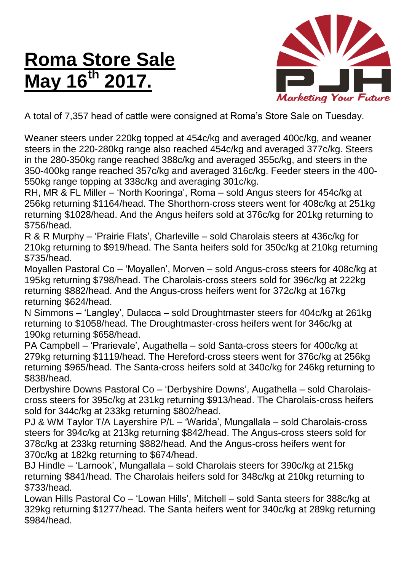## **Roma Store Sale May 16<sup>th</sup>**



A total of 7,357 head of cattle were consigned at Roma's Store Sale on Tuesday.

Weaner steers under 220kg topped at 454c/kg and averaged 400c/kg, and weaner steers in the 220-280kg range also reached 454c/kg and averaged 377c/kg. Steers in the 280-350kg range reached 388c/kg and averaged 355c/kg, and steers in the 350-400kg range reached 357c/kg and averaged 316c/kg. Feeder steers in the 400- 550kg range topping at 338c/kg and averaging 301c/kg.

RH, MR & FL Miller – 'North Kooringa', Roma – sold Angus steers for 454c/kg at 256kg returning \$1164/head. The Shorthorn-cross steers went for 408c/kg at 251kg returning \$1028/head. And the Angus heifers sold at 376c/kg for 201kg returning to \$756/head.

R & R Murphy – 'Prairie Flats', Charleville – sold Charolais steers at 436c/kg for 210kg returning to \$919/head. The Santa heifers sold for 350c/kg at 210kg returning \$735/head.

Moyallen Pastoral Co – 'Moyallen', Morven – sold Angus-cross steers for 408c/kg at 195kg returning \$798/head. The Charolais-cross steers sold for 396c/kg at 222kg returning \$882/head. And the Angus-cross heifers went for 372c/kg at 167kg returning \$624/head.

N Simmons – 'Langley', Dulacca – sold Droughtmaster steers for 404c/kg at 261kg returning to \$1058/head. The Droughtmaster-cross heifers went for 346c/kg at 190kg returning \$658/head.

PA Campbell – 'Prarievale', Augathella – sold Santa-cross steers for 400c/kg at 279kg returning \$1119/head. The Hereford-cross steers went for 376c/kg at 256kg returning \$965/head. The Santa-cross heifers sold at 340c/kg for 246kg returning to \$838/head.

Derbyshire Downs Pastoral Co – 'Derbyshire Downs', Augathella – sold Charolaiscross steers for 395c/kg at 231kg returning \$913/head. The Charolais-cross heifers sold for 344c/kg at 233kg returning \$802/head.

PJ & WM Taylor T/A Layershire P/L – 'Warida', Mungallala – sold Charolais-cross steers for 394c/kg at 213kg returning \$842/head. The Angus-cross steers sold for 378c/kg at 233kg returning \$882/head. And the Angus-cross heifers went for 370c/kg at 182kg returning to \$674/head.

BJ Hindle – 'Larnook', Mungallala – sold Charolais steers for 390c/kg at 215kg returning \$841/head. The Charolais heifers sold for 348c/kg at 210kg returning to \$733/head.

Lowan Hills Pastoral Co – 'Lowan Hills', Mitchell – sold Santa steers for 388c/kg at 329kg returning \$1277/head. The Santa heifers went for 340c/kg at 289kg returning \$984/head.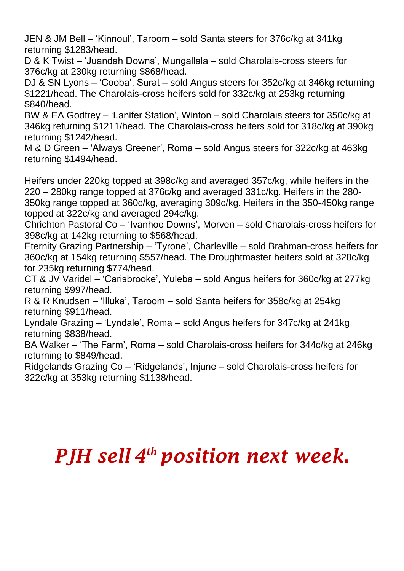JEN & JM Bell – 'Kinnoul', Taroom – sold Santa steers for 376c/kg at 341kg returning \$1283/head.

D & K Twist – 'Juandah Downs', Mungallala – sold Charolais-cross steers for 376c/kg at 230kg returning \$868/head.

DJ & SN Lyons – 'Cooba', Surat – sold Angus steers for 352c/kg at 346kg returning \$1221/head. The Charolais-cross heifers sold for 332c/kg at 253kg returning \$840/head.

BW & EA Godfrey – 'Lanifer Station', Winton – sold Charolais steers for 350c/kg at 346kg returning \$1211/head. The Charolais-cross heifers sold for 318c/kg at 390kg returning \$1242/head.

M & D Green – 'Always Greener', Roma – sold Angus steers for 322c/kg at 463kg returning \$1494/head.

Heifers under 220kg topped at 398c/kg and averaged 357c/kg, while heifers in the 220 – 280kg range topped at 376c/kg and averaged 331c/kg. Heifers in the 280- 350kg range topped at 360c/kg, averaging 309c/kg. Heifers in the 350-450kg range topped at 322c/kg and averaged 294c/kg.

Chrichton Pastoral Co – 'Ivanhoe Downs', Morven – sold Charolais-cross heifers for 398c/kg at 142kg returning to \$568/head.

Eternity Grazing Partnership – 'Tyrone', Charleville – sold Brahman-cross heifers for 360c/kg at 154kg returning \$557/head. The Droughtmaster heifers sold at 328c/kg for 235kg returning \$774/head.

CT & JV Varidel – 'Carisbrooke', Yuleba – sold Angus heifers for 360c/kg at 277kg returning \$997/head.

R & R Knudsen – 'Illuka', Taroom – sold Santa heifers for 358c/kg at 254kg returning \$911/head.

Lyndale Grazing – 'Lyndale', Roma – sold Angus heifers for 347c/kg at 241kg returning \$838/head.

BA Walker – 'The Farm', Roma – sold Charolais-cross heifers for 344c/kg at 246kg returning to \$849/head.

Ridgelands Grazing Co – 'Ridgelands', Injune – sold Charolais-cross heifers for 322c/kg at 353kg returning \$1138/head.

## *PJH sell 4 th position next week.*